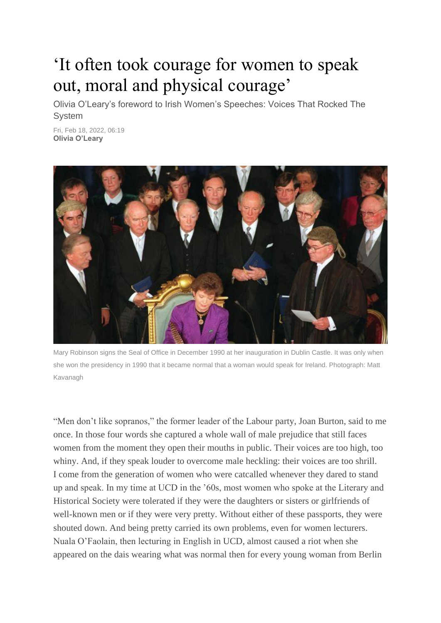## 'It often took courage for women to speak out, moral and physical courage'

Olivia O'Leary's foreword to Irish Women's Speeches: Voices That Rocked The System

Fri, Feb 18, 2022, 06:19 **Olivia O'Leary**



Mary Robinson signs the Seal of Office in December 1990 at her inauguration in Dublin Castle. It was only when she won the presidency in 1990 that it became normal that a woman would speak for Ireland. Photograph: Matt Kavanagh

"Men don't like sopranos," the former leader of the Labour party, Joan Burton, said to me once. In those four words she captured a whole wall of male prejudice that still faces women from the moment they open their mouths in public. Their voices are too high, too whiny. And, if they speak louder to overcome male heckling: their voices are too shrill. I come from the generation of women who were catcalled whenever they dared to stand up and speak. In my time at UCD in the '60s, most women who spoke at the Literary and Historical Society were tolerated if they were the daughters or sisters or girlfriends of well-known men or if they were very pretty. Without either of these passports, they were shouted down. And being pretty carried its own problems, even for women lecturers. Nuala O'Faolain, then lecturing in English in UCD, almost caused a riot when she appeared on the dais wearing what was normal then for every young woman from Berlin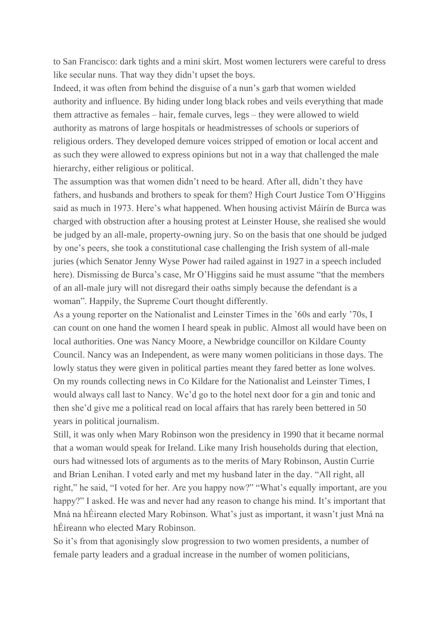to San Francisco: dark tights and a mini skirt. Most women lecturers were careful to dress like secular nuns. That way they didn't upset the boys.

Indeed, it was often from behind the disguise of a nun's garb that women wielded authority and influence. By hiding under long black robes and veils everything that made them attractive as females – hair, female curves, legs – they were allowed to wield authority as matrons of large hospitals or headmistresses of schools or superiors of religious orders. They developed demure voices stripped of emotion or local accent and as such they were allowed to express opinions but not in a way that challenged the male hierarchy, either religious or political.

The assumption was that women didn't need to be heard. After all, didn't they have fathers, and husbands and brothers to speak for them? High Court Justice Tom O'Higgins said as much in 1973. Here's what happened. When housing activist Máirín de Burca was charged with obstruction after a housing protest at Leinster House, she realised she would be judged by an all-male, property-owning jury. So on the basis that one should be judged by one's peers, she took a constitutional case challenging the Irish system of all-male juries (which Senator Jenny Wyse Power had railed against in 1927 in a speech included here). Dismissing de Burca's case, Mr O'Higgins said he must assume "that the members of an all-male jury will not disregard their oaths simply because the defendant is a woman". Happily, the Supreme Court thought differently.

As a young reporter on the Nationalist and Leinster Times in the '60s and early '70s, I can count on one hand the women I heard speak in public. Almost all would have been on local authorities. One was Nancy Moore, a Newbridge councillor on Kildare County Council. Nancy was an Independent, as were many women politicians in those days. The lowly status they were given in political parties meant they fared better as lone wolves. On my rounds collecting news in Co Kildare for the Nationalist and Leinster Times, I would always call last to Nancy. We'd go to the hotel next door for a gin and tonic and then she'd give me a political read on local affairs that has rarely been bettered in 50 years in political journalism.

Still, it was only when Mary Robinson won the presidency in 1990 that it became normal that a woman would speak for Ireland. Like many Irish households during that election, ours had witnessed lots of arguments as to the merits of Mary Robinson, Austin Currie and Brian Lenihan. I voted early and met my husband later in the day. "All right, all right," he said, "I voted for her. Are you happy now?" "What's equally important, are you happy?" I asked. He was and never had any reason to change his mind. It's important that Mná na hÉireann elected Mary Robinson. What's just as important, it wasn't just Mná na hÉireann who elected Mary Robinson.

So it's from that agonisingly slow progression to two women presidents, a number of female party leaders and a gradual increase in the number of women politicians,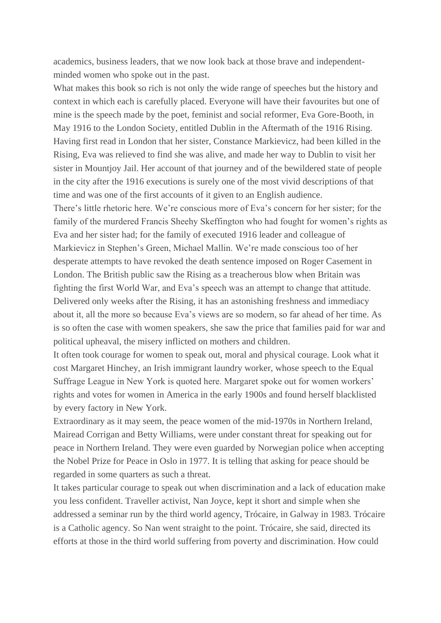academics, business leaders, that we now look back at those brave and independentminded women who spoke out in the past.

What makes this book so rich is not only the wide range of speeches but the history and context in which each is carefully placed. Everyone will have their favourites but one of mine is the speech made by the poet, feminist and social reformer, Eva Gore-Booth, in May 1916 to the London Society, entitled Dublin in the Aftermath of the 1916 Rising. Having first read in London that her sister, Constance Markievicz, had been killed in the Rising, Eva was relieved to find she was alive, and made her way to Dublin to visit her sister in Mountjoy Jail. Her account of that journey and of the bewildered state of people in the city after the 1916 executions is surely one of the most vivid descriptions of that time and was one of the first accounts of it given to an English audience.

There's little rhetoric here. We're conscious more of Eva's concern for her sister; for the family of the murdered Francis Sheehy Skeffington who had fought for women's rights as Eva and her sister had; for the family of executed 1916 leader and colleague of Markievicz in Stephen's Green, Michael Mallin. We're made conscious too of her desperate attempts to have revoked the death sentence imposed on Roger Casement in London. The British public saw the Rising as a treacherous blow when Britain was fighting the first World War, and Eva's speech was an attempt to change that attitude. Delivered only weeks after the Rising, it has an astonishing freshness and immediacy about it, all the more so because Eva's views are so modern, so far ahead of her time. As is so often the case with women speakers, she saw the price that families paid for war and political upheaval, the misery inflicted on mothers and children.

It often took courage for women to speak out, moral and physical courage. Look what it cost Margaret Hinchey, an Irish immigrant laundry worker, whose speech to the Equal Suffrage League in New York is quoted here. Margaret spoke out for women workers' rights and votes for women in America in the early 1900s and found herself blacklisted by every factory in New York.

Extraordinary as it may seem, the peace women of the mid-1970s in Northern Ireland, Mairead Corrigan and Betty Williams, were under constant threat for speaking out for peace in Northern Ireland. They were even guarded by Norwegian police when accepting the Nobel Prize for Peace in Oslo in 1977. It is telling that asking for peace should be regarded in some quarters as such a threat.

It takes particular courage to speak out when discrimination and a lack of education make you less confident. Traveller activist, Nan Joyce, kept it short and simple when she addressed a seminar run by the third world agency, Trócaire, in Galway in 1983. Trócaire is a Catholic agency. So Nan went straight to the point. Trócaire, she said, directed its efforts at those in the third world suffering from poverty and discrimination. How could